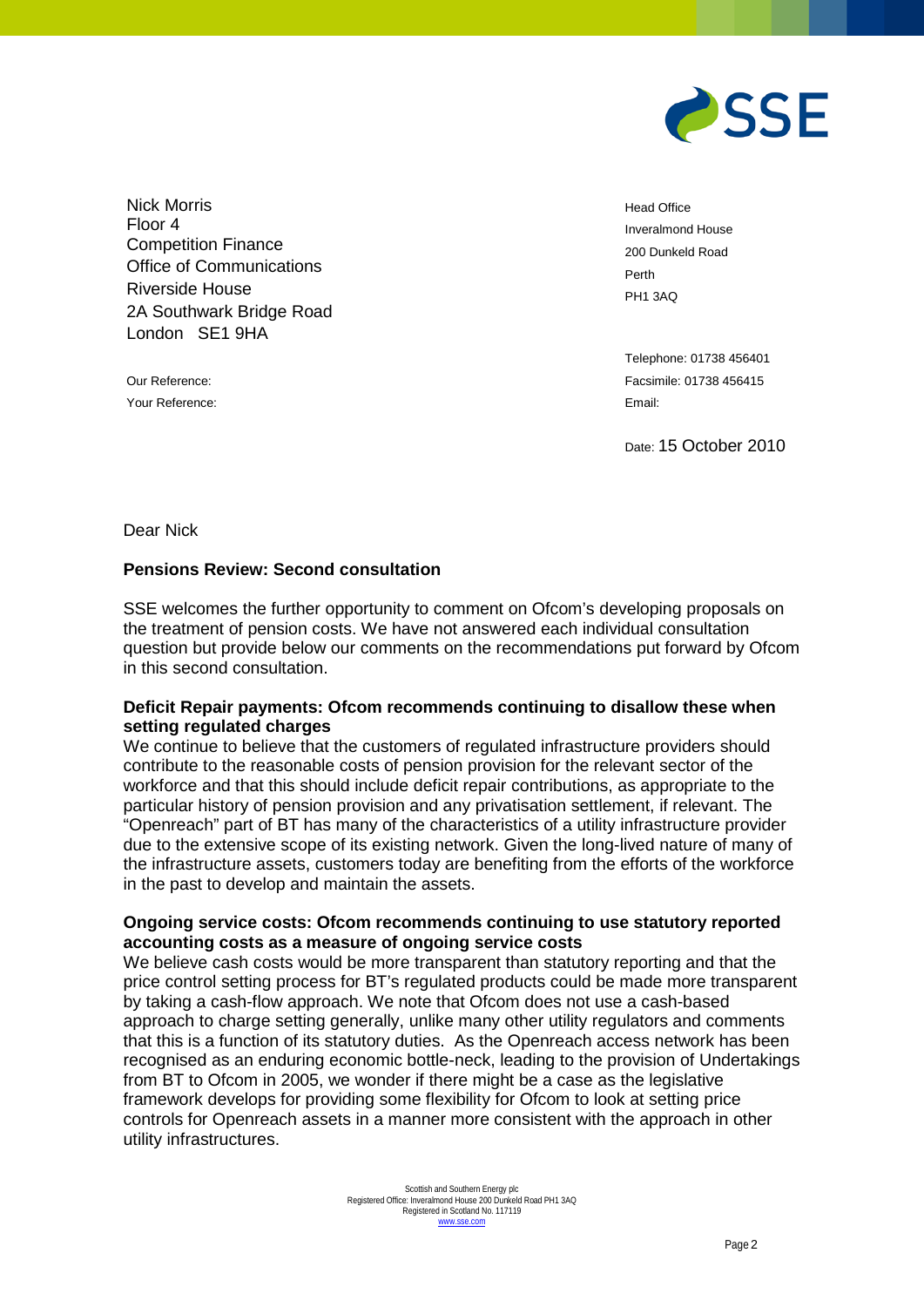

Nick Morris Floor 4 Competition Finance Office of Communications Riverside House 2A Southwark Bridge Road London SE1 9HA

Your Reference: Email:

Head Office Inveralmond House 200 Dunkeld Road Perth PH1 3AQ

Telephone: 01738 456401 Our Reference: Facsimile: 01738 456415

Date: 15 October 2010

Dear Nick

## **Pensions Review: Second consultation**

SSE welcomes the further opportunity to comment on Ofcom's developing proposals on the treatment of pension costs. We have not answered each individual consultation question but provide below our comments on the recommendations put forward by Ofcom in this second consultation.

## **Deficit Repair payments: Ofcom recommends continuing to disallow these when setting regulated charges**

We continue to believe that the customers of regulated infrastructure providers should contribute to the reasonable costs of pension provision for the relevant sector of the workforce and that this should include deficit repair contributions, as appropriate to the particular history of pension provision and any privatisation settlement, if relevant. The "Openreach" part of BT has many of the characteristics of a utility infrastructure provider due to the extensive scope of its existing network. Given the long-lived nature of many of the infrastructure assets, customers today are benefiting from the efforts of the workforce in the past to develop and maintain the assets.

## **Ongoing service costs: Ofcom recommends continuing to use statutory reported accounting costs as a measure of ongoing service costs**

We believe cash costs would be more transparent than statutory reporting and that the price control setting process for BT's regulated products could be made more transparent by taking a cash-flow approach. We note that Ofcom does not use a cash-based approach to charge setting generally, unlike many other utility regulators and comments that this is a function of its statutory duties. As the Openreach access network has been recognised as an enduring economic bottle-neck, leading to the provision of Undertakings from BT to Ofcom in 2005, we wonder if there might be a case as the legislative framework develops for providing some flexibility for Ofcom to look at setting price controls for Openreach assets in a manner more consistent with the approach in other utility infrastructures.

> Scottish and Southern Energy plc Registered Office: Inveralmond House 200 Dunkeld Road PH1 3AQ Registered in Scotland No. 117119 [www.sse.com](http://www.sse.com/)